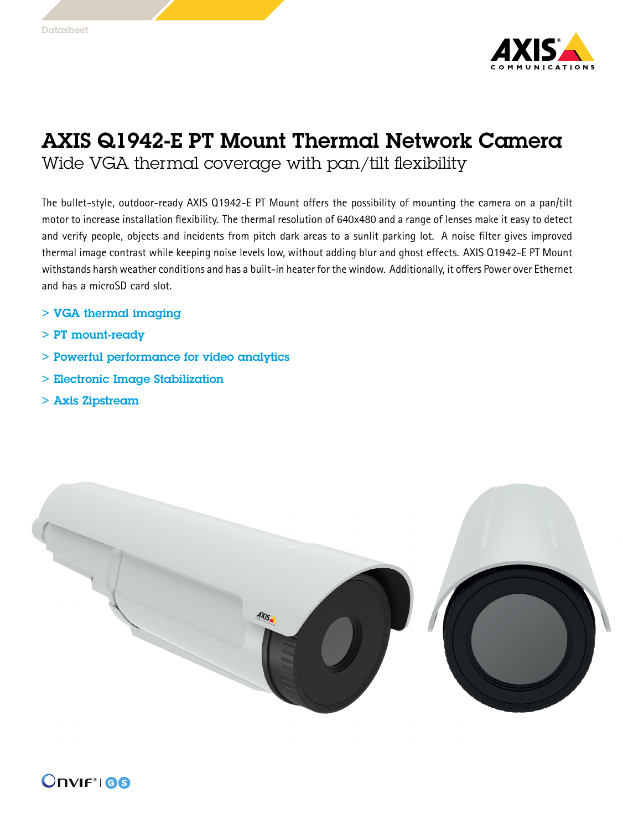

## AXIS Q1942-E PT Mount Thermal Network Camera Wide VGA thermal coverage with pan/tilt flexibility

The bullet-style, outdoor-ready AXIS Q1942-E PT Mount offers the possibility of mounting the camera on <sup>a</sup> pan/tilt motor to increase installation flexibility. The thermal resolution of 640x480 and <sup>a</sup> range of lenses make it easy to detect and verify people, objects and incidents from pitch dark areas to <sup>a</sup> sunlit parking lot. A noise filter gives improved thermal image contrast while keeping noise levels low, without adding blur and ghost effects. AXIS Q1942-E PT Mount withstands harsh weather conditions and has <sup>a</sup> built-in heater for the window. Additionally, it offers Power over Ethernet and has <sup>a</sup> microSD card slot.

- > VGA thermal imaging
- > PT mount-ready
- > Powerful performance for video analytics
- > Electronic Image Stabilization
- > Axis Zipstream